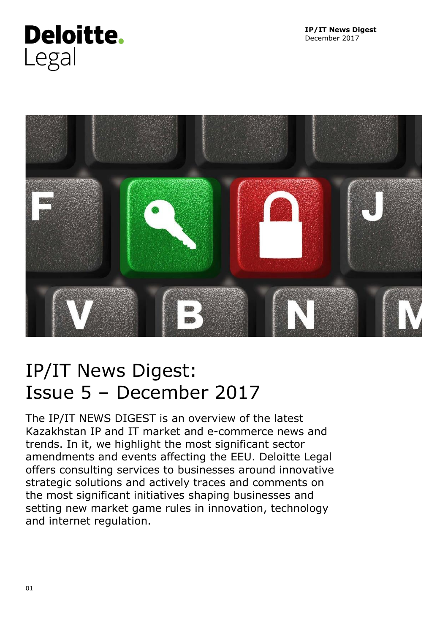



# IP/IT News Digest: Issue 5 – December 2017

The IP/IT NEWS DIGEST is an overview of the latest Kazakhstan IP and IT market and e-commerce news and trends. In it, we highlight the most significant sector amendments and events affecting the EEU. Deloitte Legal offers consulting services to businesses around innovative strategic solutions and actively traces and comments on the most significant initiatives shaping businesses and setting new market game rules in innovation, technology and internet regulation.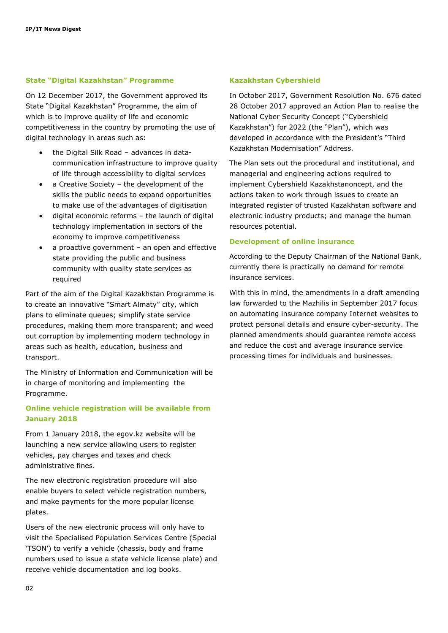#### **State "Digital Kazakhstan" Programme**

On 12 December 2017, the Government approved its State "Digital Kazakhstan" Programme, the aim of which is to improve quality of life and economic competitiveness in the country by promoting the use of digital technology in areas such as:

- the Digital Silk Road advances in datacommunication infrastructure to improve quality of life through accessibility to digital services
- a Creative Society the development of the skills the public needs to expand opportunities to make use of the advantages of digitisation
- digital economic reforms the launch of digital technology implementation in sectors of the economy to improve competitiveness
- a proactive government an open and effective state providing the public and business community with quality state services as required

Part of the aim of the Digital Kazakhstan Programme is to create an innovative "Smart Almaty" city, which plans to eliminate queues; simplify state service procedures, making them more transparent; and weed out corruption by implementing modern technology in areas such as health, education, business and transport.

The Ministry of Information and Communication will be in charge of monitoring and implementing the Programme.

### **Online vehicle registration will be available from January 2018**

From 1 January 2018, the egov.kz website will be launching a new service allowing users to register vehicles, pay charges and taxes and check administrative fines.

The new electronic registration procedure will also enable buyers to select vehicle registration numbers, and make payments for the more popular license plates.

Users of the new electronic process will only have to visit the Specialised Population Services Centre (Special 'TSON') to verify a vehicle (chassis, body and frame numbers used to issue a state vehicle license plate) and receive vehicle documentation and log books.

#### **Kazakhstan Cybershield**

In October 2017, Government Resolution No. 676 dated 28 October 2017 approved an Action Plan to realise the National Cyber Security Concept ("Cybershield Kazakhstan") for 2022 (the "Plan"), which was developed in accordance with the President's "Third Kazakhstan Modernisation" Address.

The Plan sets out the procedural and institutional, and managerial and engineering actions required to implement Cybershield Kazakhstanoncept, and the actions taken to work through issues to create an integrated register of trusted Kazakhstan software and electronic industry products; and manage the human resources potential.

#### **Development of online insurance**

According to the Deputy Chairman of the National Bank, currently there is practically no demand for remote insurance services.

With this in mind, the amendments in a draft amending law forwarded to the Mazhilis in September 2017 focus on automating insurance company Internet websites to protect personal details and ensure cyber-security. The planned amendments should guarantee remote access and reduce the cost and average insurance service processing times for individuals and businesses.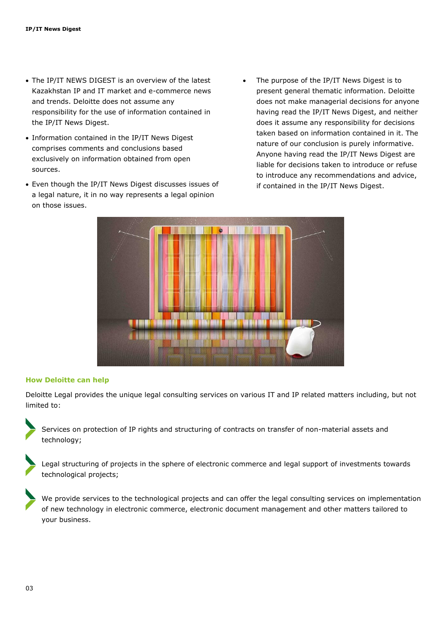- The IP/IT NEWS DIGEST is an overview of the latest Kazakhstan IP and IT market and e-commerce news and trends. Deloitte does not assume any responsibility for the use of information contained in the IP/IT News Digest.
- Information contained in the IP/IT News Digest comprises comments and conclusions based exclusively on information obtained from open sources.
- Even though the IP/IT News Digest discusses issues of a legal nature, it in no way represents a legal opinion on those issues.
- The purpose of the IP/IT News Digest is to present general thematic information. Deloitte does not make managerial decisions for anyone having read the IP/IT News Digest, and neither does it assume any responsibility for decisions taken based on information contained in it. The nature of our conclusion is purely informative. Anyone having read the IP/IT News Digest are liable for decisions taken to introduce or refuse to introduce any recommendations and advice, if contained in the IP/IT News Digest.



#### **How Deloitte can help**

Deloitte Legal provides the unique legal consulting services on various IT and IP related matters including, but not limited to:

Services on protection of IP rights and structuring of contracts on transfer of non-material assets and technology;

Legal structuring of projects in the sphere of electronic commerce and legal support of investments towards technological projects;

We provide services to the technological projects and can offer the legal consulting services on implementation of new technology in electronic commerce, electronic document management and other matters tailored to your business.